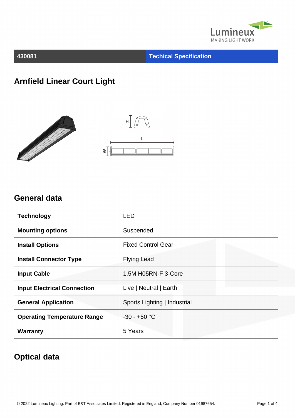

**430081 Techical Specification**

## **Arnfield Linear Court Light**





#### **General data**

| <b>Technology</b>                  | LED                          |
|------------------------------------|------------------------------|
| <b>Mounting options</b>            | Suspended                    |
| <b>Install Options</b>             | <b>Fixed Control Gear</b>    |
| <b>Install Connector Type</b>      | <b>Flying Lead</b>           |
| <b>Input Cable</b>                 | 1.5M H05RN-F 3-Core          |
| <b>Input Electrical Connection</b> | Live   Neutral   Earth       |
| <b>General Application</b>         | Sports Lighting   Industrial |
| <b>Operating Temperature Range</b> | $-30 - +50$ °C               |
| <b>Warranty</b>                    | 5 Years                      |

## **Optical data**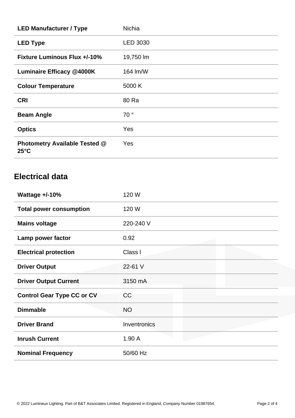| <b>LED Manufacturer / Type</b>                         | <b>Nichia</b>   |
|--------------------------------------------------------|-----------------|
| <b>LED Type</b>                                        | <b>LED 3030</b> |
| <b>Fixture Luminous Flux +/-10%</b>                    | 19,750 lm       |
| <b>Luminaire Efficacy @4000K</b>                       | 164 lm/W        |
| <b>Colour Temperature</b>                              | 5000 K          |
| <b>CRI</b>                                             | 80 Ra           |
| <b>Beam Angle</b>                                      | 70°             |
| <b>Optics</b>                                          | Yes             |
| <b>Photometry Available Tested @</b><br>$25^{\circ}$ C | Yes             |

# **Electrical data**

| Wattage $+/-10%$                  | 120 W        |
|-----------------------------------|--------------|
| <b>Total power consumption</b>    | 120 W        |
| <b>Mains voltage</b>              | 220-240 V    |
| Lamp power factor                 | 0.92         |
| <b>Electrical protection</b>      | Class I      |
| <b>Driver Output</b>              | 22-61 V      |
| <b>Driver Output Current</b>      | 3150 mA      |
| <b>Control Gear Type CC or CV</b> | <b>CC</b>    |
| <b>Dimmable</b>                   | <b>NO</b>    |
| <b>Driver Brand</b>               | Inventronics |
| <b>Inrush Current</b>             | 1.90A        |
| <b>Nominal Frequency</b>          | 50/60 Hz     |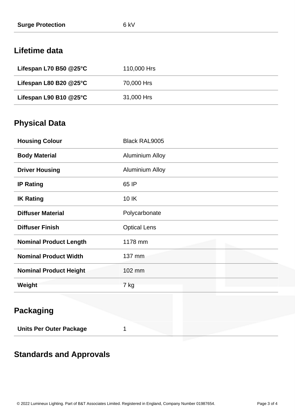#### **Lifetime data**

| Lifespan L70 B50 $@25^\circ C$        | 110,000 Hrs |
|---------------------------------------|-------------|
| Lifespan L80 B20 $@25^\circ \text{C}$ | 70,000 Hrs  |
| Lifespan L90 B10 $@25$ °C             | 31,000 Hrs  |

## **Physical Data**

| <b>Housing Colour</b>         | <b>Black RAL9005</b>   |
|-------------------------------|------------------------|
| <b>Body Material</b>          | <b>Aluminium Alloy</b> |
| <b>Driver Housing</b>         | <b>Aluminium Alloy</b> |
| <b>IP Rating</b>              | 65 IP                  |
| <b>IK Rating</b>              | 10 IK                  |
| <b>Diffuser Material</b>      | Polycarbonate          |
| <b>Diffuser Finish</b>        | <b>Optical Lens</b>    |
| <b>Nominal Product Length</b> | 1178 mm                |
| <b>Nominal Product Width</b>  | 137 mm                 |
| <b>Nominal Product Height</b> | 102 mm                 |
| Weight                        | 7 kg                   |
| <b>Packaging</b>              |                        |

**Units Per Outer Package** 1

## **Standards and Approvals**